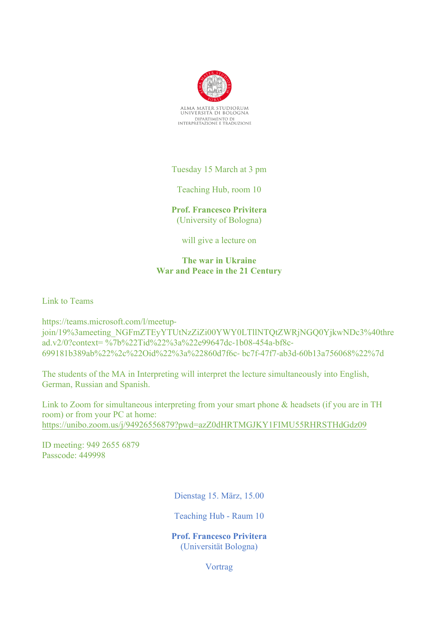

Tuesday 15 March at 3 pm

Teaching Hub, room 10

**Prof. Francesco Privitera** (University of Bologna)

will give a lecture on

## **The war in Ukraine War and Peace in the 21 Century**

Link to Teams

https://teams.microsoft.com/l/meetupjoin/19%3ameeting\_NGFmZTEyYTUtNzZiZi00YWY0LTllNTQtZWRjNGQ0YjkwNDc3%40thre ad.v2/0?context= %7b%22Tid%22%3a%22e99647dc-1b08-454a-bf8c-699181b389ab%22%2c%22Oid%22%3a%22860d7f6c- bc7f-47f7-ab3d-60b13a756068%22%7d

The students of the MA in Interpreting will interpret the lecture simultaneously into English, German, Russian and Spanish.

Link to Zoom for simultaneous interpreting from your smart phone & headsets (if you are in TH room) or from your PC at home: https://unibo.zoom.us/j/94926556879?pwd=azZ0dHRTMGJKY1FIMU55RHRSTHdGdz09

ID meeting: 949 2655 6879 Passcode: 449998

Dienstag 15. März, 15.00

Teaching Hub - Raum 10

**Prof. Francesco Privitera** (Universität Bologna)

**V**ortrag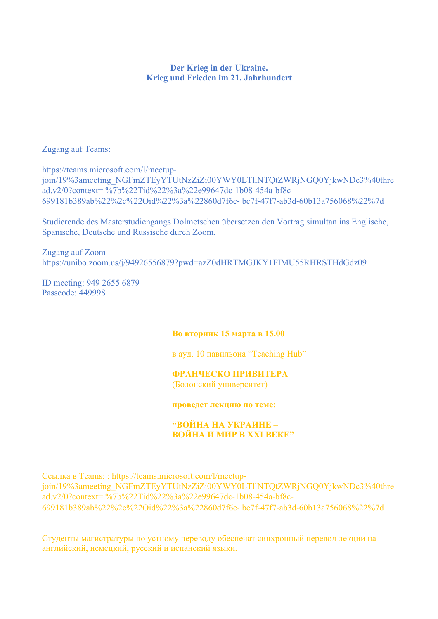## **Der Krieg in der Ukraine. Krieg und Frieden im 21. Jahrhundert**

## Zugang auf Teams:

https://teams.microsoft.com/l/meetupjoin/19%3ameeting\_NGFmZTEyYTUtNzZiZi00YWY0LTllNTQtZWRjNGQ0YjkwNDc3%40thre ad.v2/0?context= %7b%22Tid%22%3a%22e99647dc-1b08-454a-bf8c-699181b389ab%22%2c%22Oid%22%3a%22860d7f6c- bc7f-47f7-ab3d-60b13a756068%22%7d

Studierende des Masterstudiengangs Dolmetschen übersetzen den Vortrag simultan ins Englische, Spanische, Deutsche und Russische durch Zoom.

Zugang auf Zoom https://unibo.zoom.us/j/94926556879?pwd=azZ0dHRTMGJKY1FIMU55RHRSTHdGdz09

ID meeting: 949 2655 6879 Passcode: 449998

## **Во вторник 15 марта в 15.00**

в ауд. 10 павильона "Teaching Hub"

# **ФРАНЧЕСКО ПРИВИТЕРА**

(Болонский университет)

#### **проведет лекцию по теме:**

### **"ВОЙНА НА УКРАИНЕ – ВОЙНА И МИР В XXI ВЕКЕ"**

Ссылка в Teams: : https://teams.microsoft.com/l/meetupjoin/19%3ameeting\_NGFmZTEyYTUtNzZiZi00YWY0LTllNTQtZWRjNGQ0YjkwNDc3%40thre ad.v2/0?context= %7b%22Tid%22%3a%22e99647dc-1b08-454a-bf8c-699181b389ab%22%2c%22Oid%22%3a%22860d7f6c- bc7f-47f7-ab3d-60b13a756068%22%7d

Студенты магистратуры по устному переводу обеспечат синхронный перевод лекции на английский, немецкий, русский и испанский языки.